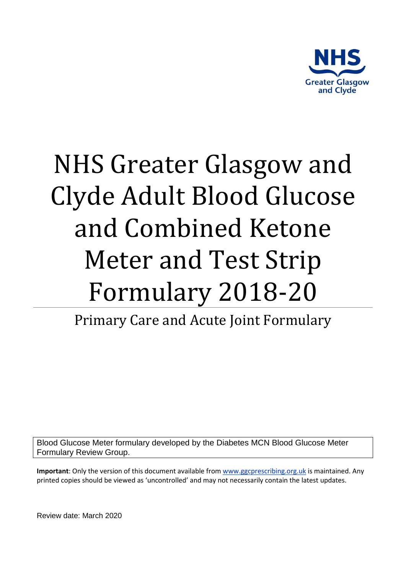

# NHS Greater Glasgow and Clyde Adult Blood Glucose and Combined Ketone Meter and Test Strip Formulary 2018-20

Primary Care and Acute Joint Formulary

Blood Glucose Meter formulary developed by the Diabetes MCN Blood Glucose Meter Formulary Review Group.

**Important**: Only the version of this document available fro[m www.ggcprescribing.org.uk](http://www.ggcprescribing.org.uk/) is maintained. Any printed copies should be viewed as 'uncontrolled' and may not necessarily contain the latest updates.

Review date: March 2020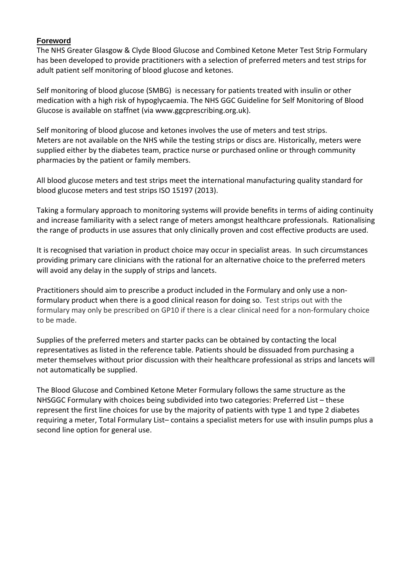## **Foreword**

The NHS Greater Glasgow & Clyde Blood Glucose and Combined Ketone Meter Test Strip Formulary has been developed to provide practitioners with a selection of preferred meters and test strips for adult patient self monitoring of blood glucose and ketones.

Self monitoring of blood glucose (SMBG) is necessary for patients treated with insulin or other medication with a high risk of hypoglycaemia. The NHS GGC Guideline for Self Monitoring of Blood Glucose is available on staffnet (via www.ggcprescribing.org.uk).

Self monitoring of blood glucose and ketones involves the use of meters and test strips. Meters are not available on the NHS while the testing strips or discs are. Historically, meters were supplied either by the diabetes team, practice nurse or purchased online or through community pharmacies by the patient or family members.

All blood glucose meters and test strips meet the international manufacturing quality standard for blood glucose meters and test strips ISO 15197 (2013).

Taking a formulary approach to monitoring systems will provide benefits in terms of aiding continuity and increase familiarity with a select range of meters amongst healthcare professionals. Rationalising the range of products in use assures that only clinically proven and cost effective products are used.

It is recognised that variation in product choice may occur in specialist areas. In such circumstances providing primary care clinicians with the rational for an alternative choice to the preferred meters will avoid any delay in the supply of strips and lancets.

Practitioners should aim to prescribe a product included in the Formulary and only use a nonformulary product when there is a good clinical reason for doing so. Test strips out with the formulary may only be prescribed on GP10 if there is a clear clinical need for a non-formulary choice to be made.

Supplies of the preferred meters and starter packs can be obtained by contacting the local representatives as listed in the reference table. Patients should be dissuaded from purchasing a meter themselves without prior discussion with their healthcare professional as strips and lancets will not automatically be supplied.

The Blood Glucose and Combined Ketone Meter Formulary follows the same structure as the NHSGGC Formulary with choices being subdivided into two categories: Preferred List – these represent the first line choices for use by the majority of patients with type 1 and type 2 diabetes requiring a meter, Total Formulary List– contains a specialist meters for use with insulin pumps plus a second line option for general use.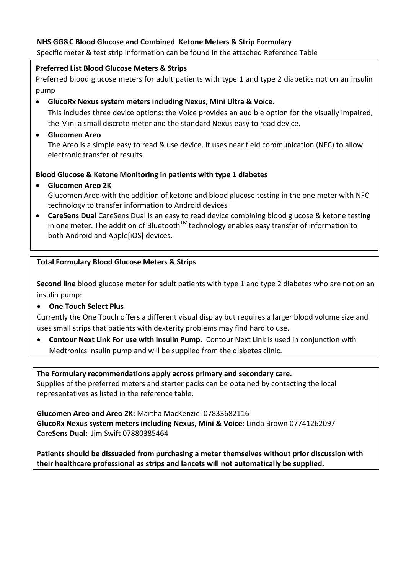# **NHS GG&C Blood Glucose and Combined Ketone Meters & Strip Formulary**

Specific meter & test strip information can be found in the attached Reference Table

## **Preferred List Blood Glucose Meters & Strips**

Preferred blood glucose meters for adult patients with type 1 and type 2 diabetics not on an insulin pump

• **GlucoRx Nexus system meters including Nexus, Mini Ultra & Voice.** 

This includes three device options: the Voice provides an audible option for the visually impaired, the Mini a small discrete meter and the standard Nexus easy to read device.

• **Glucomen Areo**

The Areo is a simple easy to read & use device. It uses near field communication (NFC) to allow electronic transfer of results.

# **Blood Glucose & Ketone Monitoring in patients with type 1 diabetes**

• **Glucomen Areo 2K** 

Glucomen Areo with the addition of ketone and blood glucose testing in the one meter with NFC technology to transfer information to Android devices

• **CareSens Dual** CareSens Dual is an easy to read device combining blood glucose & ketone testing in one meter. The addition of Bluetooth $TM$  technology enables easy transfer of information to both Android and Apple[iOS] devices.

## **Total Formulary Blood Glucose Meters & Strips**

**Second line** blood glucose meter for adult patients with type 1 and type 2 diabetes who are not on an insulin pump:

• **One Touch Select Plus** 

Currently the One Touch offers a different visual display but requires a larger blood volume size and uses small strips that patients with dexterity problems may find hard to use.

• **Contour Next Link For use with Insulin Pump.** Contour Next Link is used in conjunction with Medtronics insulin pump and will be supplied from the diabetes clinic.

**The Formulary recommendations apply across primary and secondary care.** Supplies of the preferred meters and starter packs can be obtained by contacting the local representatives as listed in the reference table.

**Glucomen Areo and Areo 2K:** Martha MacKenzie 07833682116 **GlucoRx Nexus system meters including Nexus, Mini & Voice:** Linda Brown 07741262097 **CareSens Dual:** Jim Swift 07880385464

**Patients should be dissuaded from purchasing a meter themselves without prior discussion with their healthcare professional as strips and lancets will not automatically be supplied.**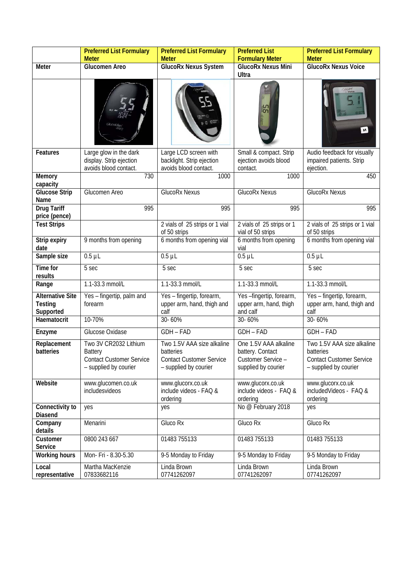|                                                 | <b>Preferred List Formulary</b><br><b>Meter</b>                                                     | <b>Preferred List Formulary</b><br><b>Meter</b>                                                     | <b>Preferred List</b><br><b>Formulary Meter</b>                                        | <b>Preferred List Formulary</b><br><b>Meter</b>                                                            |
|-------------------------------------------------|-----------------------------------------------------------------------------------------------------|-----------------------------------------------------------------------------------------------------|----------------------------------------------------------------------------------------|------------------------------------------------------------------------------------------------------------|
| Meter                                           | <b>Glucomen Areo</b>                                                                                | <b>GlucoRx Nexus System</b>                                                                         | <b>GlucoRx Nexus Mini</b><br>Ultra                                                     | <b>GlucoRx Nexus Voice</b>                                                                                 |
|                                                 |                                                                                                     |                                                                                                     | 59                                                                                     | $\mathsf{M}% _{T}=\mathsf{M}_{T}\!\left( a,b\right) ,\ \mathsf{M}_{T}=\mathsf{M}_{T}\!\left( a,b\right) ,$ |
| <b>Features</b>                                 | Large glow in the dark<br>display. Strip ejection<br>avoids blood contact.                          | Large LCD screen with<br>backlight. Strip ejection<br>avoids blood contact.                         | Small & compact. Strip<br>ejection avoids blood<br>contact.                            | Audio feedback for visually<br>impaired patients. Strip<br>ejection.                                       |
| Memory<br>capacity                              | 730                                                                                                 | 1000                                                                                                | 1000                                                                                   | 450                                                                                                        |
| <b>Glucose Strip</b><br>Name                    | Glucomen Areo                                                                                       | <b>GlucoRx Nexus</b>                                                                                | <b>GlucoRx Nexus</b>                                                                   | <b>GlucoRx Nexus</b>                                                                                       |
| <b>Drug Tariff</b><br>price (pence)             | 995                                                                                                 | 995                                                                                                 | 995                                                                                    | 995                                                                                                        |
| <b>Test Strips</b>                              |                                                                                                     | 2 vials of 25 strips or 1 vial<br>of 50 strips                                                      | 2 vials of 25 strips or 1<br>vial of 50 strips                                         | 2 vials of 25 strips or 1 vial<br>of 50 strips                                                             |
| Strip expiry<br>date                            | 9 months from opening                                                                               | 6 months from opening vial                                                                          | 6 months from opening<br>vial                                                          | 6 months from opening vial                                                                                 |
| Sample size                                     | $0.5$ $\mu$ L                                                                                       | $0.5$ $\mu$ L                                                                                       | $0.5 \mu L$                                                                            | $0.5$ $\mu$ L                                                                                              |
| Time for<br>results                             | 5 sec                                                                                               | 5 sec                                                                                               | 5 sec                                                                                  | 5 sec                                                                                                      |
| Range                                           | 1.1-33.3 mmol/L                                                                                     | 1.1-33.3 mmol/L                                                                                     | 1.1-33.3 mmol/L                                                                        | 1.1-33.3 mmol/L                                                                                            |
| <b>Alternative Site</b><br>Testing<br>Supported | Yes - fingertip, palm and<br>forearm                                                                | Yes - fingertip, forearm,<br>upper arm, hand, thigh and<br>calf                                     | Yes-fingertip, forearm,<br>upper arm, hand, thigh<br>and calf                          | Yes - fingertip, forearm,<br>upper arm, hand, thigh and<br>calf                                            |
| Haematocrit                                     | 10-70%                                                                                              | 30-60%                                                                                              | 30-60%                                                                                 | 30-60%                                                                                                     |
| Enzyme                                          | Glucose Oxidase                                                                                     | GDH - FAD                                                                                           | GDH - FAD                                                                              | $GDH-FAD$                                                                                                  |
| Replacement<br>batteries                        | Two 3V CR2032 Lithium<br><b>Battery</b><br><b>Contact Customer Service</b><br>- supplied by courier | Two 1.5V AAA size alkaline<br>batteries<br><b>Contact Customer Service</b><br>- supplied by courier | One 1.5V AAA alkaline<br>battery. Contact<br>Customer Service -<br>supplied by courier | Two 1.5V AAA size alkaline<br>batteries<br><b>Contact Customer Service</b><br>- supplied by courier        |
| Website                                         | www.glucomen.co.uk<br>includesvideos                                                                | www.glucorx.co.uk<br>include videos - FAQ &<br>ordering                                             | www.glucorx.co.uk<br>include videos - FAQ &<br>ordering                                | www.glucorx.co.uk<br>includedVideos - FAQ &<br>ordering                                                    |
| Connectivity to<br>Diasend                      | yes                                                                                                 | yes                                                                                                 | No @ February 2018                                                                     | yes                                                                                                        |
| Company<br>details                              | Menarini                                                                                            | Gluco Rx                                                                                            | Gluco Rx                                                                               | Gluco Rx                                                                                                   |
| Customer<br>Service                             | 0800 243 667                                                                                        | 01483 755133                                                                                        | 01483 755133                                                                           | 01483 755133                                                                                               |
| <b>Working hours</b>                            | Mon- Fri - 8.30-5.30                                                                                | 9-5 Monday to Friday                                                                                | 9-5 Monday to Friday                                                                   | 9-5 Monday to Friday                                                                                       |
| Local<br>representative                         | Martha MacKenzie<br>07833682116                                                                     | Linda Brown<br>07741262097                                                                          | Linda Brown<br>07741262097                                                             | Linda Brown<br>07741262097                                                                                 |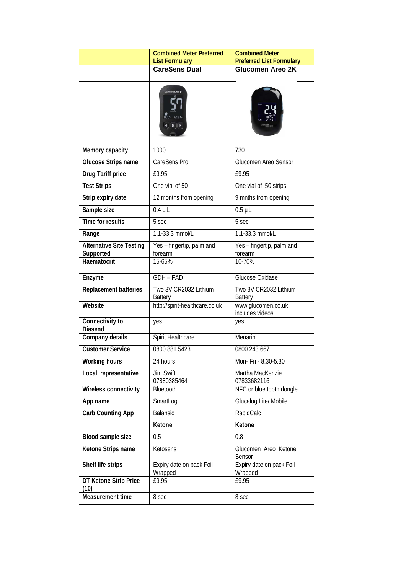|                                              | <b>Combined Meter Preferred</b><br><b>List Formulary</b>                           | <b>Combined Meter</b><br><b>Preferred List Formulary</b> |
|----------------------------------------------|------------------------------------------------------------------------------------|----------------------------------------------------------|
|                                              | <b>CareSens Dual</b>                                                               | <b>Glucomen Areo 2K</b>                                  |
|                                              | 0924 2:37.<br>$\blacktriangleleft$ $\parallel$ S $\parallel$ $\blacktriangleright$ |                                                          |
| Memory capacity                              | 1000                                                                               | 730                                                      |
| <b>Glucose Strips name</b>                   | CareSens Pro                                                                       | Glucomen Areo Sensor                                     |
| <b>Drug Tariff price</b>                     | £9.95                                                                              | £9.95                                                    |
| <b>Test Strips</b>                           | One vial of 50                                                                     | One vial of 50 strips                                    |
| Strip expiry date                            | 12 months from opening                                                             | 9 mnths from opening                                     |
| Sample size                                  | $0.4 \mu L$                                                                        | $0.5$ $\mu$ L                                            |
| <b>Time for results</b>                      | 5 sec                                                                              | 5 sec                                                    |
| Range                                        | 1.1-33.3 mmol/L                                                                    | $1.\overline{1.33.3 \text{ mmol/L}}$                     |
| <b>Alternative Site Testing</b><br>Supported | Yes - fingertip, palm and<br>forearm                                               | Yes - fingertip, palm and<br>forearm                     |
| Haematocrit                                  | 15-65%                                                                             | 10-70%                                                   |
| Enzyme                                       | <b>GDH - FAD</b>                                                                   | Glucose Oxidase                                          |
| <b>Replacement batteries</b>                 | Two 3V CR2032 Lithium<br><b>Battery</b>                                            | Two 3V CR2032 Lithium<br><b>Battery</b>                  |
| Website                                      | http://spirit-healthcare.co.uk                                                     | www.glucomen.co.uk<br>includes videos                    |
| Connectivity to<br>Diasend                   | yes                                                                                | yes                                                      |
| Company details                              | Spirit Healthcare                                                                  | Menarini                                                 |
| <b>Customer Service</b>                      | 0800 881 5423                                                                      | 0800 243 667                                             |
| <b>Working hours</b>                         | 24 hours                                                                           | Mon- Fri - 8.30-5.30                                     |
| Local representative                         | <b>Jim Swift</b><br>07880385464                                                    | Martha MacKenzie<br>07833682116                          |
| Wireless connectivity                        | Bluetooth                                                                          | NFC or blue tooth dongle                                 |
| App name                                     | SmartLog                                                                           | Glucalog Lite/ Mobile                                    |
| <b>Carb Counting App</b>                     | Balansio                                                                           | RapidCalc                                                |
|                                              | Ketone                                                                             | Ketone                                                   |
| Blood sample size                            | 0.5                                                                                | 0.8                                                      |
| Ketone Strips name                           | Ketosens                                                                           | Glucomen Areo Ketone<br>Sensor                           |
| Shelf life strips                            | Expiry date on pack Foil<br>Wrapped                                                | Expiry date on pack Foil<br>Wrapped                      |
| DT Ketone Strip Price<br>(10)                | £9.95                                                                              | £9.95                                                    |
| Measurement time                             | 8 sec                                                                              | 8 sec                                                    |